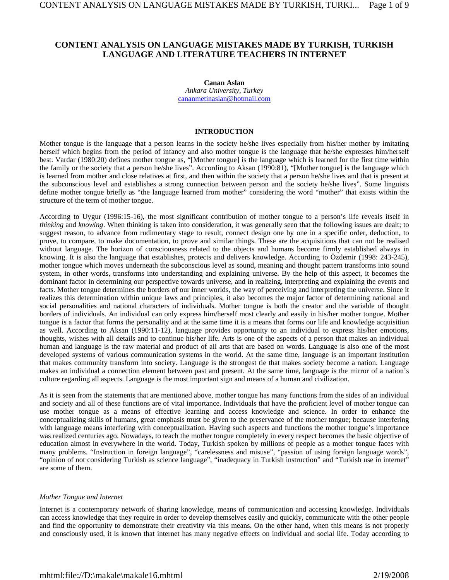# **CONTENT ANALYSIS ON LANGUAGE MISTAKES MADE BY TURKISH, TURKISH LANGUAGE AND LITERATURE TEACHERS IN INTERNET**

#### **Canan Aslan**

*Ankara University, Turkey* cananmetinaslan@hotmail.com

# **INTRODUCTION**

Mother tongue is the language that a person learns in the society he/she lives especially from his/her mother by imitating herself which begins from the period of infancy and also mother tongue is the language that he/she expresses him/herself best. Vardar (1980:20) defines mother tongue as, "[Mother tongue] is the language which is learned for the first time within the family or the society that a person he/she lives". According to Aksan (1990:81), "[Mother tongue] is the language which is learned from mother and close relatives at first, and then within the society that a person he/she lives and that is present at the subconscious level and establishes a strong connection between person and the society he/she lives". Some linguists define mother tongue briefly as "the language learned from mother" considering the word "mother" that exists within the structure of the term of mother tongue.

According to Uygur (1996:15-16), the most significant contribution of mother tongue to a person's life reveals itself in *thinking* and *knowing*. When thinking is taken into consideration, it was generally seen that the following issues are dealt; to suggest reason, to advance from rudimentary stage to result, connect design one by one in a specific order, deduction, to prove, to compare, to make documentation, to prove and similar things. These are the acquisitions that can not be realised without language. The horizon of consciousness related to the objects and humans become firmly established always in knowing. It is also the language that establishes, protects and delivers knowledge. According to Özdemir (1998: 243-245), mother tongue which moves underneath the subconscious level as sound, meaning and thought pattern transforms into sound system, in other words, transforms into understanding and explaining universe. By the help of this aspect, it becomes the dominant factor in determining our perspective towards universe, and in realizing, interpreting and explaining the events and facts. Mother tongue determines the borders of our inner worlds, the way of perceiving and interpreting the universe. Since it realizes this determination within unique laws and principles, it also becomes the major factor of determining national and social personalities and national characters of individuals. Mother tongue is both the creator and the variable of thought borders of individuals. An individual can only express him/herself most clearly and easily in his/her mother tongue. Mother tongue is a factor that forms the personality and at the same time it is a means that forms our life and knowledge acquisition as well. According to Aksan (1990:11-12), language provides opportunity to an individual to express his/her emotions, thoughts, wishes with all details and to continue his/her life. Arts is one of the aspects of a person that makes an individual human and language is the raw material and product of all arts that are based on words. Language is also one of the most developed systems of various communication systems in the world. At the same time, language is an important institution that makes community transform into society. Language is the strongest tie that makes society become a nation. Language makes an individual a connection element between past and present. At the same time, language is the mirror of a nation's culture regarding all aspects. Language is the most important sign and means of a human and civilization.

As it is seen from the statements that are mentioned above, mother tongue has many functions from the sides of an individual and society and all of these functions are of vital importance. Individuals that have the proficient level of mother tongue can use mother tongue as a means of effective learning and access knowledge and science. In order to enhance the conceptualizing skills of humans, great emphasis must be given to the preservance of the mother tongue; because interfering with language means interfering with conceptualization. Having such aspects and functions the mother tongue's importance was realized centuries ago. Nowadays, to teach the mother tongue completely in every respect becomes the basic objective of education almost in everywhere in the world. Today, Turkish spoken by millions of people as a mother tongue faces with many problems. "Instruction in foreign language", "carelessness and misuse", "passion of using foreign language words", "opinion of not considering Turkish as science language", "inadequacy in Turkish instruction" and "Turkish use in internet" are some of them.

#### *Mother Tongue and Internet*

Internet is a contemporary network of sharing knowledge, means of communication and accessing knowledge. Individuals can access knowledge that they require in order to develop themselves easily and quickly, communicate with the other people and find the opportunity to demonstrate their creativity via this means. On the other hand, when this means is not properly and consciously used, it is known that internet has many negative effects on individual and social life. Today according to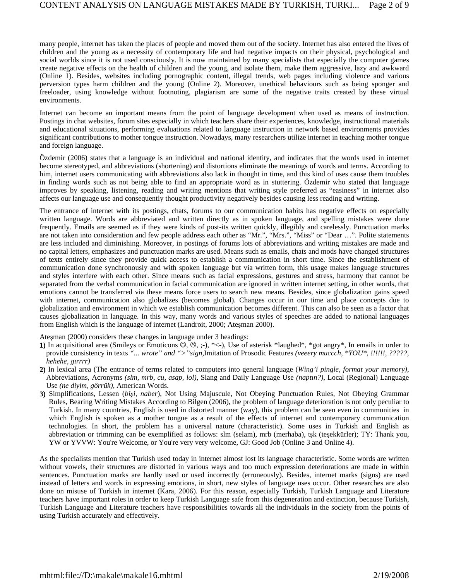many people, internet has taken the places of people and moved them out of the society. Internet has also entered the lives of children and the young as a necessity of contemporary life and had negative impacts on their physical, psychological and social worlds since it is not used consciously. It is now maintained by many specialists that especially the computer games create negative effects on the health of children and the young, and isolate them, make them aggressive, lazy and awkward (Online 1). Besides, websites including pornographic content, illegal trends, web pages including violence and various perversion types harm children and the young (Online 2). Moreover, unethical behaviours such as being sponger and freeloader, using knowledge without footnoting, plagiarism are some of the negative traits created by these virtual environments.

Internet can become an important means from the point of language development when used as means of instruction. Postings in chat websites, forum sites especially in which teachers share their experiences, knowledge, instructional materials and educational situations, performing evaluations related to language instruction in network based environments provides significant contributions to mother tongue instruction. Nowadays, many researchers utilize internet in teaching mother tongue and foreign language.

Özdemir (2006) states that a language is an individual and national identity, and indicates that the words used in internet become stereotyped, and abbreviations (shortening) and distortions eliminate the meanings of words and terms. According to him, internet users communicating with abbreviations also lack in thought in time, and this kind of uses cause them troubles in finding words such as not being able to find an appropriate word as in stuttering. Özdemir who stated that language improves by speaking, listening, reading and writing mentions that writing style preferred as "easiness" in internet also affects our language use and consequently thought productivity negatively besides causing less reading and writing.

The entrance of internet with its postings, chats, forums to our communication habits has negative effects on especially written language. Words are abbreviated and written directly as in spoken language, and spelling mistakes were done frequently. Emails are seemed as if they were kinds of post-its written quickly, illegibly and carelessly. Punctuation marks are not taken into consideration and few people address each other as "Mr.", "Mrs.", "Miss" or "Dear …". Polite statements are less included and diminishing. Moreover, in postings of forums lots of abbreviations and writing mistakes are made and no capital letters, emphasizes and punctuation marks are used. Means such as emails, chats and mods have changed structures of texts entirely since they provide quick access to establish a communication in short time. Since the establishment of communication done synchronously and with spoken language but via written form, this usage makes language structures and styles interfere with each other. Since means such as facial expressions, gestures and stress, harmony that cannot be separated from the verbal communication in facial communication are ignored in written internet setting, in other words, that emotions cannot be transferred via these means force users to search new means. Besides, since globalization gains speed with internet, communication also globalizes (becomes global). Changes occur in our time and place concepts due to globalization and environment in which we establish communication becomes different. This can also be seen as a factor that causes globalization in language. In this way, many words and various styles of speeches are added to national languages from English which is the language of internet (Landroit, 2000; Ateşman 2000).

Ateşman (2000) considers these changes in language under 3 headings:

- **1)** In acquisitional area (Smileys or Emoticons  $\mathcal{Q}, \mathcal{Q}, \cdot, \cdot$ ), \*<-), Use of asterisk \*laughed\*, \*got angry\*. In emails in order to provide consistency in texts *"... wrote" and ">"sign,*Imitation of Prosodic Features *(veeery muccch, \*YOU\*, !!!!!!, ?????, hehehe, gırrrr)*
- **2)** In lexical area (The entrance of terms related to computers into general language (*Wing'i pingle, format your memory)*, Abbreviations, Acronyms *(slm, mrb, cu, asap, lol)*, Slang and Daily Language Use *(naptın?)*, Local (Regional) Language Use *(ne diyim, görrük)*, American Words.
- **3)** Simplifications, Lessen (*bişi, naber*), Not Using Majuscule, Not Obeying Punctuation Rules, Not Obeying Grammar Rules, Bearing Writing Mistakes According to Bilgen (2006), the problem of language deterioration is not only peculiar to Turkish. In many countries, English is used in distorted manner (way), this problem can be seen even in communities in which English is spoken as a mother tongue as a result of the effects of internet and contemporary communication technologies. In short, the problem has a universal nature (characteristic). Some uses in Turkish and English as abbreviation or trimming can be exemplified as follows: slm (selam), mrb (merhaba), tşk (teşekkürler); TY: Thank you, YW or YVVW: You're Welcome, or You're very very welcome, GJ: Good Job (Online 3 and Online 4).

As the specialists mention that Turkish used today in internet almost lost its language characteristic. Some words are written without vowels, their structures are distorted in various ways and too much expression deteriorations are made in within sentences. Punctuation marks are hardly used or used incorrectly (erroneously). Besides, internet marks (signs) are used instead of letters and words in expressing emotions, in short, new styles of language uses occur. Other researches are also done on misuse of Turkish in internet (Kara, 2006). For this reason, especially Turkish, Turkish Language and Literature teachers have important roles in order to keep Turkish Language safe from this degeneration and extinction, because Turkish, Turkish Language and Literature teachers have responsibilities towards all the individuals in the society from the points of using Turkish accurately and effectively.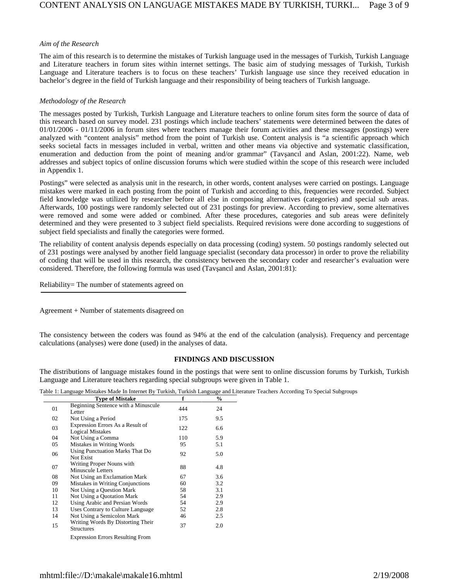## *Aim of the Research*

The aim of this research is to determine the mistakes of Turkish language used in the messages of Turkish, Turkish Language and Literature teachers in forum sites within internet settings. The basic aim of studying messages of Turkish, Turkish Language and Literature teachers is to focus on these teachers' Turkish language use since they received education in bachelor's degree in the field of Turkish language and their responsibility of being teachers of Turkish language.

## *Methodology of the Research*

The messages posted by Turkish, Turkish Language and Literature teachers to online forum sites form the source of data of this research based on survey model. 231 postings which include teachers' statements were determined between the dates of 01/01/2006 - 01/11/2006 in forum sites where teachers manage their forum activities and these messages (postings) were analyzed with "content analysis" method from the point of Turkish use. Content analysis is "a scientific approach which seeks societal facts in messages included in verbal, written and other means via objective and systematic classification, enumeration and deduction from the point of meaning and/or grammar" (Tavşancıl and Aslan, 2001:22). Name, web addresses and subject topics of online discussion forums which were studied within the scope of this research were included in Appendix 1.

Postings" were selected as analysis unit in the research, in other words, content analyses were carried on postings. Language mistakes were marked in each posting from the point of Turkish and according to this, frequencies were recorded. Subject field knowledge was utilized by researcher before all else in composing alternatives (categories) and special sub areas. Afterwards, 100 postings were randomly selected out of 231 postings for preview. According to preview, some alternatives were removed and some were added or combined. After these procedures, categories and sub areas were definitely determined and they were presented to 3 subject field specialists. Required revisions were done according to suggestions of subject field specialists and finally the categories were formed.

The reliability of content analysis depends especially on data processing (coding) system. 50 postings randomly selected out of 231 postings were analysed by another field language specialist (secondary data processor) in order to prove the reliability of coding that will be used in this research, the consistency between the secondary coder and researcher's evaluation were considered. Therefore, the following formula was used (Tavşancıl and Aslan, 2001:81):

Reliability= The number of statements agreed on

Agreement + Number of statements disagreed on

The consistency between the coders was found as 94% at the end of the calculation (analysis). Frequency and percentage calculations (analyses) were done (used) in the analyses of data.

# **FINDINGS AND DISCUSSION**

The distributions of language mistakes found in the postings that were sent to online discussion forums by Turkish, Turkish Language and Literature teachers regarding special subgroups were given in Table 1.

| Table 1: Language Mistakes Made In Internet By Turkish, Turkish Language and Literature Teachers According To Special Subgroups |  |  |
|---------------------------------------------------------------------------------------------------------------------------------|--|--|
|---------------------------------------------------------------------------------------------------------------------------------|--|--|

|    | <b>Type of Mistake</b>                                      | f   | $\frac{6}{9}$ |
|----|-------------------------------------------------------------|-----|---------------|
| 01 | Beginning Sentence with a Minuscule<br>Letter               | 444 | 24            |
| 02 | Not Using a Period                                          | 175 | 9.5           |
| 03 | Expression Errors As a Result of<br><b>Logical Mistakes</b> | 122 | 6.6           |
| 04 | Not Using a Comma                                           | 110 | 5.9           |
| 05 | Mistakes in Writing Words                                   | 95  | 5.1           |
| 06 | Using Punctuation Marks That Do<br>Not Exist                | 92  | 5.0           |
| 07 | Writing Proper Nouns with<br><b>Minuscule Letters</b>       | 88  | 4.8           |
| 08 | Not Using an Exclamation Mark                               | 67  | 3.6           |
| 09 | Mistakes in Writing Conjunctions                            | 60  | 3.2           |
| 10 | Not Using a Question Mark                                   | 58  | 3.1           |
| 11 | Not Using a Quotation Mark                                  | 54  | 2.9           |
| 12 | Using Arabic and Persian Words                              | 54  | 2.9           |
| 13 | Uses Contrary to Culture Language                           | 52  | 2.8           |
| 14 | Not Using a Semicolon Mark                                  | 46  | 2.5           |
| 15 | Writing Words By Distorting Their<br><b>Structures</b>      | 37  | 2.0           |
|    | <b>Expression Errors Resulting From</b>                     |     |               |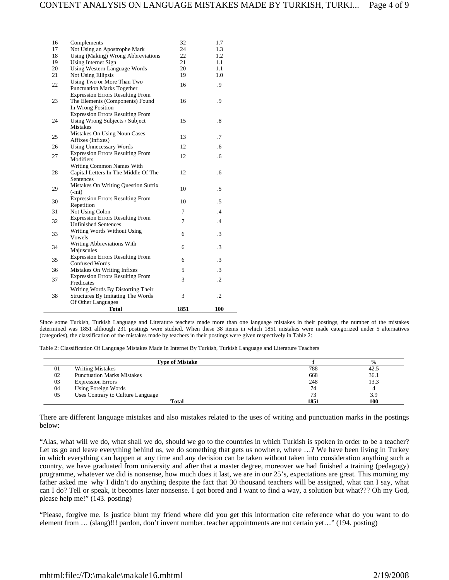| 16 | Complements                             | 32   | 1.7       |
|----|-----------------------------------------|------|-----------|
| 17 | Not Using an Apostrophe Mark            | 24   | 1.3       |
| 18 | Using (Making) Wrong Abbreviations      | 22   | 1.2       |
| 19 | Using Internet Sign                     | 21   | 1.1       |
| 20 | Using Western Language Words            | 20   | 1.1       |
| 21 | Not Using Ellipsis                      | 19   | 1.0       |
|    | Using Two or More Than Two              |      |           |
| 22 | <b>Punctuation Marks Together</b>       | 16   | .9        |
|    | <b>Expression Errors Resulting From</b> |      |           |
| 23 | The Elements (Components) Found         | 16   | .9        |
|    | In Wrong Position                       |      |           |
|    | <b>Expression Errors Resulting From</b> |      |           |
| 24 | Using Wrong Subjects / Subject          | 15   | $\cdot^8$ |
|    | Mistakes                                |      |           |
| 25 | Mistakes On Using Noun Cases            | 13   | .7        |
|    | Affixes (Infixes)                       |      |           |
| 26 | <b>Using Unnecessary Words</b>          | 12   | .6        |
| 27 | <b>Expression Errors Resulting From</b> | 12   | .6        |
|    | Modifiers                               |      |           |
|    | Writing Common Names With               |      |           |
| 28 | Capital Letters In The Middle Of The    | 12   | .6        |
|    | Sentences                               |      |           |
| 29 | Mistakes On Writing Question Suffix     | 10   | .5        |
|    | $(-mi)$                                 |      |           |
| 30 | <b>Expression Errors Resulting From</b> | 10   | $.5\,$    |
|    | Repetition                              |      |           |
| 31 | Not Using Colon                         | 7    | .4        |
| 32 | <b>Expression Errors Resulting From</b> | 7    | .4        |
|    | <b>Unfinished Sentences</b>             |      |           |
| 33 | Writing Words Without Using             | 6    | $\cdot$ 3 |
|    | Vowels                                  |      |           |
| 34 | Writing Abbreviations With              | 6    | $\cdot$ 3 |
|    | Majuscules                              |      |           |
| 35 | <b>Expression Errors Resulting From</b> | 6    | $\cdot$ 3 |
|    | <b>Confused Words</b>                   |      |           |
| 36 | Mistakes On Writing Infixes             | 5    | $\cdot$ 3 |
| 37 | <b>Expression Errors Resulting From</b> | 3    | $\cdot$   |
|    | Predicates                              |      |           |
|    | Writing Words By Distorting Their       | 3    | $\cdot$   |
| 38 | Structures By Imitating The Words       |      |           |
|    | Of Other Languages                      |      |           |
|    | <b>Total</b>                            | 1851 | 100       |

Since some Turkish, Turkish Language and Literature teachers made more than one language mistakes in their postings, the number of the mistakes determined was 1851 although 231 postings were studied. When these 38 items in which 1851 mistakes were made categorized under 5 alternatives (categories), the classification of the mistakes made by teachers in their postings were given respectively in Table 2:

Table 2: Classification Of Language Mistakes Made In Internet By Turkish, Turkish Language and Literature Teachers

|    | <b>Type of Mistake</b>            |      | $\frac{0}{0}$ |
|----|-----------------------------------|------|---------------|
| 01 | <b>Writing Mistakes</b>           | 788  | 42.5          |
| 02 | <b>Punctuation Marks Mistakes</b> | 668  | 36.1          |
| 03 | <b>Expression Errors</b>          | 248  | 13.3          |
| 04 | Using Foreign Words               | 74   |               |
| 05 | Uses Contrary to Culture Language | 73   | 3.9           |
|    | Total                             | 1851 | 100           |

There are different language mistakes and also mistakes related to the uses of writing and punctuation marks in the postings below:

"Alas, what will we do, what shall we do, should we go to the countries in which Turkish is spoken in order to be a teacher? Let us go and leave everything behind us, we do something that gets us nowhere, where ...? We have been living in Turkey in which everything can happen at any time and any decision can be taken without taken into consideration anything such a country, we have graduated from university and after that a master degree, moreover we had finished a training (pedagogy) programme, whatever we did is nonsense, how much does it last, we are in our 25's, expectations are great. This morning my father asked me why I didn't do anything despite the fact that 30 thousand teachers will be assigned, what can I say, what can I do? Tell or speak, it becomes later nonsense. I got bored and I want to find a way, a solution but what??? Oh my God, please help me!" (143. posting)

"Please, forgive me. Is justice blunt my friend where did you get this information cite reference what do you want to do element from … (slang)!!! pardon, don't invent number. teacher appointments are not certain yet…" (194. posting)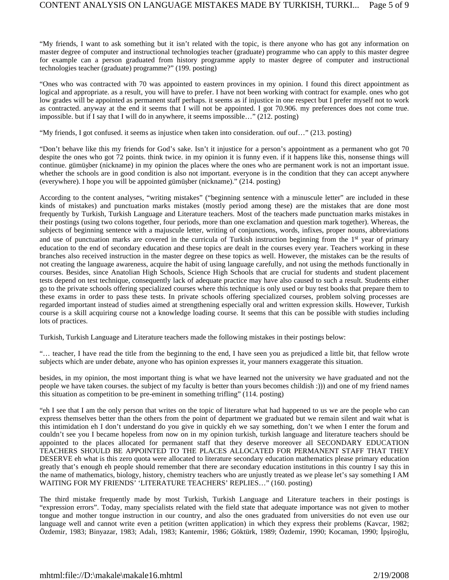"My friends, I want to ask something but it isn't related with the topic, is there anyone who has got any information on master degree of computer and instructional technologies teacher (graduate) programme who can apply to this master degree for example can a person graduated from history programme apply to master degree of computer and instructional technologies teacher (graduate) programme?" (199. posting)

"Ones who was contracted with 70 was appointed to eastern provinces in my opinion. I found this direct appointment as logical and appropriate. as a result, you will have to prefer. I have not been working with contract for example. ones who got low grades will be appointed as permanent staff perhaps. it seems as if injustice in one respect but I prefer myself not to work as contracted. anyway at the end it seems that I will not be appointed. I got 70.906. my preferences does not come true. impossible. but if I say that I will do in anywhere, it seems impossible…" (212. posting)

"My friends, I got confused. it seems as injustice when taken into consideration. ouf ouf…" (213. posting)

"Don't behave like this my friends for God's sake. Isn't it injustice for a person's appointment as a permanent who got 70 despite the ones who got 72 points. think twice. in my opinion it is funny even. if it happens like this, nonsense things will continue. gümüşber (nickname) in my opinion the places where the ones who are permanent work is not an important issue. whether the schools are in good condition is also not important. everyone is in the condition that they can accept anywhere (everywhere). I hope you will be appointed gümüşber (nickname)." (214. posting)

According to the content analyses, "writing mistakes" ("beginning sentence with a minuscule letter" are included in these kinds of mistakes) and punctuation marks mistakes (mostly period among these) are the mistakes that are done most frequently by Turkish, Turkish Language and Literature teachers. Most of the teachers made punctuation marks mistakes in their postings (using two colons together, four periods, more than one exclamation and question mark together). Whereas, the subjects of beginning sentence with a majuscule letter, writing of conjunctions, words, infixes, proper nouns, abbreviations and use of punctuation marks are covered in the curricula of Turkish instruction beginning from the  $1<sup>st</sup>$  year of primary education to the end of secondary education and these topics are dealt in the courses every year. Teachers working in these branches also received instruction in the master degree on these topics as well. However, the mistakes can be the results of not creating the language awareness, acquire the habit of using language carefully, and not using the methods functionally in courses. Besides, since Anatolian High Schools, Science High Schools that are crucial for students and student placement tests depend on test technique, consequently lack of adequate practice may have also caused to such a result. Students either go to the private schools offering specialized courses where this technique is only used or buy test books that prepare them to these exams in order to pass these tests. In private schools offering specialized courses, problem solving processes are regarded important instead of studies aimed at strengthening especially oral and written expression skills. However, Turkish course is a skill acquiring course not a knowledge loading course. It seems that this can be possible with studies including lots of practices.

Turkish, Turkish Language and Literature teachers made the following mistakes in their postings below:

"… teacher, I have read the title from the beginning to the end, I have seen you as prejudiced a little bit, that fellow wrote subjects which are under debate, anyone who has opinion expresses it, your manners exaggerate this situation.

besides, in my opinion, the most important thing is what we have learned not the university we have graduated and not the people we have taken courses. the subject of my faculty is better than yours becomes childish :))) and one of my friend names this situation as competition to be pre-eminent in something trifling" (114. posting)

"eh I see that I am the only person that writes on the topic of literature what had happened to us we are the people who can express themselves better than the others from the point of department we graduated but we remain silent and wait what is this intimidation eh I don't understand do you give in quickly eh we say something, don't we when I enter the forum and couldn't see you I became hopeless from now on in my opinion turkish, turkish language and literature teachers should be appointed to the places allocated for permanent staff that they deserve moreover all SECONDARY EDUCATION TEACHERS SHOULD BE APPOINTED TO THE PLACES ALLOCATED FOR PERMANENT STAFF THAT THEY DESERVE eh what is this zero quota were allocated to literature secondary education mathematics please primary education greatly that's enough eh people should remember that there are secondary education institutions in this country I say this in the name of mathematics, biology, history, chemistry teachers who are unjustly treated as we please let's say something I AM WAITING FOR MY FRIENDS' 'LITERATURE TEACHERS' REPLIES…" (160. posting)

The third mistake frequently made by most Turkish, Turkish Language and Literature teachers in their postings is "expression errors". Today, many specialists related with the field state that adequate importance was not given to mother tongue and mother tongue instruction in our country, and also the ones graduated from universities do not even use our language well and cannot write even a petition (written application) in which they express their problems (Kavcar, 1982; Özdemir, 1983; Binyazar, 1983; Adalı, 1983; Kantemir, 1986; Göktürk, 1989; Özdemir, 1990; Kocaman, 1990; İpşiroğlu,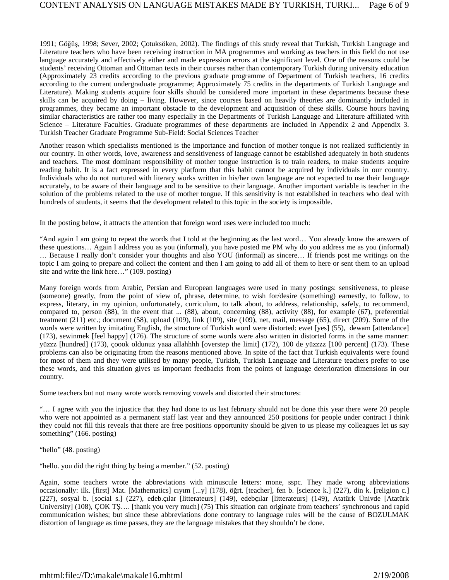1991; Göğüş, 1998; Sever, 2002; Çotuksöken, 2002). The findings of this study reveal that Turkish, Turkish Language and Literature teachers who have been receiving instruction in MA programmes and working as teachers in this field do not use language accurately and effectively either and made expression errors at the significant level. One of the reasons could be students' receiving Ottoman and Ottoman texts in their courses rather than contemporary Turkish during university education (Approximately 23 credits according to the previous graduate programme of Department of Turkish teachers, 16 credits according to the current undergraduate programme; Approximately 75 credits in the departments of Turkish Language and Literature). Making students acquire four skills should be considered more important in these departments because these skills can be acquired by doing – living. However, since courses based on heavily theories are dominantly included in programmes, they became an important obstacle to the development and acquisition of these skills. Course hours having similar characteristics are rather too many especially in the Departments of Turkish Language and Literature affiliated with Science – Literature Faculties. Graduate programmes of these departments are included in Appendix 2 and Appendix 3. Turkish Teacher Graduate Programme Sub-Field: Social Sciences Teacher

Another reason which specialists mentioned is the importance and function of mother tongue is not realized sufficiently in our country. In other words, love, awareness and sensitiveness of language cannot be established adequately in both students and teachers. The most dominant responsibility of mother tongue instruction is to train readers, to make students acquire reading habit. It is a fact expressed in every platform that this habit cannot be acquired by individuals in our country. Individuals who do not nurtured with literary works written in his/her own language are not expected to use their language accurately, to be aware of their language and to be sensitive to their language. Another important variable is teacher in the solution of the problems related to the use of mother tongue. If this sensitivity is not established in teachers who deal with hundreds of students, it seems that the development related to this topic in the society is impossible.

In the posting below, it attracts the attention that foreign word uses were included too much:

"And again I am going to repeat the words that I told at the beginning as the last word… You already know the answers of these questions… Again I address you as you (informal), you have posted me PM why do you address me as you (informal) … Because I really don't consider your thoughts and also YOU (informal) as sincere… If friends post me writings on the topic I am going to prepare and collect the content and then I am going to add all of them to here or sent them to an upload site and write the link here…" (109. posting)

Many foreign words from Arabic, Persian and European languages were used in many postings: sensitiveness, to please (someone) greatly, from the point of view of, phrase, determine, to wish for/desire (something) earnestly, to follow, to express, literary, in my opinion, unfortunately, curriculum, to talk about, to address, relationship, safely, to recommend, compared to, person (88), in the event that ... (88), about, concerning (88), activity (88), for example (67), preferential treatment (211) etc.; document (58), upload (109), link (109), site (109), net, mail, message (65), direct (209). Some of the words were written by imitating English, the structure of Turkish word were distorted: ewet [yes] (55), dewam [attendance] (173), sewinmek [feel happy] (176). The structure of some words were also written in distorted forms in the same manner: yüzzz [hundred] (173), çoook oldunuz yaaa allahhhh [overstep the limit] (172), 100 de yüzzzz [100 percent] (173). These problems can also be originating from the reasons mentioned above. In spite of the fact that Turkish equivalents were found for most of them and they were utilised by many people, Turkish, Turkish Language and Literature teachers prefer to use these words, and this situation gives us important feedbacks from the points of language deterioration dimensions in our country.

Some teachers but not many wrote words removing vowels and distorted their structures:

"… I agree with you the injustice that they had done to us last february should not be done this year there were 20 people who were not appointed as a permanent staff last year and they announced 250 positions for people under contract I think they could not fill this reveals that there are free positions opportunity should be given to us please my colleagues let us say something" (166. posting)

"hello" (48. posting)

"hello. you did the right thing by being a member." (52. posting)

Again, some teachers wrote the abbreviations with minuscule letters: mone, sspc. They made wrong abbreviations occasionally: ilk. [first] Mat. [Mathematics] cıyım [...y] (178), öğrt. [teacher], fen b. [science k.] (227), din k. [religion c.] (227), sosyal b. [social s.] (227), edeb.çılar [litterateurs] (149), edebçılar [litterateurs] (149), Atatürk Ünivde [Atatürk University] (108), COK TS.... [thank you very much] (75) This situation can originate from teachers' synchronous and rapid communication wishes; but since these abbreviations done contrary to language rules will be the cause of BOZULMAK distortion of language as time passes, they are the language mistakes that they shouldn't be done.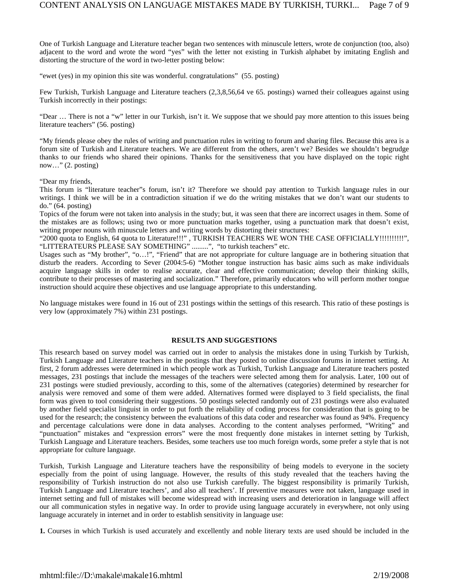One of Turkish Language and Literature teacher began two sentences with minuscule letters, wrote de conjunction (too, also) adjacent to the word and wrote the word "yes" with the letter not existing in Turkish alphabet by imitating English and distorting the structure of the word in two-letter posting below:

"ewet (yes) in my opinion this site was wonderful. congratulations" (55. posting)

Few Turkish, Turkish Language and Literature teachers (2,3,8,56,64 ve 65. postings) warned their colleagues against using Turkish incorrectly in their postings:

"Dear … There is not a "w" letter in our Turkish, isn't it. We suppose that we should pay more attention to this issues being literature teachers" (56. posting)

"My friends please obey the rules of writing and punctuation rules in writing to forum and sharing files. Because this area is a forum site of Turkish and Literature teachers. We are different from the others, aren't we? Besides we shouldn't begrudge thanks to our friends who shared their opinions. Thanks for the sensitiveness that you have displayed on the topic right now…" (2. posting)

"Dear my friends,

This forum is "literature teacher"s forum, isn't it? Therefore we should pay attention to Turkish language rules in our writings. I think we will be in a contradiction situation if we do the writing mistakes that we don't want our students to do." (64. posting)

Topics of the forum were not taken into analysis in the study; but, it was seen that there are incorrect usages in them. Some of the mistakes are as follows; using two or more punctuation marks together, using a punctuation mark that doesn't exist, writing proper nouns with minuscule letters and writing words by distorting their structures:

"2000 quota to English, 64 quota to Literature!!!" , TURKISH TEACHERS WE WON THE CASE OFFICIALLY!!!!!!!!!!", "LITTERATEURS PLEASE SAY SOMETHING" .........", "to turkish teachers" etc.

Usages such as "My brother", "o…!", "Friend" that are not appropriate for culture language are in bothering situation that disturb the readers. According to Sever (2004:5-6) "Mother tongue instruction has basic aims such as make individuals acquire language skills in order to realise accurate, clear and effective communication; develop their thinking skills, contribute to their processes of mastering and socialization." Therefore, primarily educators who will perform mother tongue instruction should acquire these objectives and use language appropriate to this understanding.

No language mistakes were found in 16 out of 231 postings within the settings of this research. This ratio of these postings is very low (approximately 7%) within 231 postings.

## **RESULTS AND SUGGESTIONS**

This research based on survey model was carried out in order to analysis the mistakes done in using Turkish by Turkish, Turkish Language and Literature teachers in the postings that they posted to online discussion forums in internet setting. At first, 2 forum addresses were determined in which people work as Turkish, Turkish Language and Literature teachers posted messages, 231 postings that include the messages of the teachers were selected among them for analysis. Later, 100 out of 231 postings were studied previously, according to this, some of the alternatives (categories) determined by researcher for analysis were removed and some of them were added. Alternatives formed were displayed to 3 field specialists, the final form was given to tool considering their suggestions. 50 postings selected randomly out of 231 postings were also evaluated by another field specialist linguist in order to put forth the reliability of coding process for consideration that is going to be used for the research; the consistency between the evaluations of this data coder and researcher was found as 94%. Frequency and percentage calculations were done in data analyses. According to the content analyses performed, "Writing" and "punctuation" mistakes and "expression errors" were the most frequently done mistakes in internet setting by Turkish, Turkish Language and Literature teachers. Besides, some teachers use too much foreign words, some prefer a style that is not appropriate for culture language.

Turkish, Turkish Language and Literature teachers have the responsibility of being models to everyone in the society especially from the point of using language. However, the results of this study revealed that the teachers having the responsibility of Turkish instruction do not also use Turkish carefully. The biggest responsibility is primarily Turkish, Turkish Language and Literature teachers', and also all teachers'. If preventive measures were not taken, language used in internet setting and full of mistakes will become widespread with increasing users and deterioration in language will affect our all communication styles in negative way. In order to provide using language accurately in everywhere, not only using language accurately in internet and in order to establish sensitivity in language use:

**1.** Courses in which Turkish is used accurately and excellently and noble literary texts are used should be included in the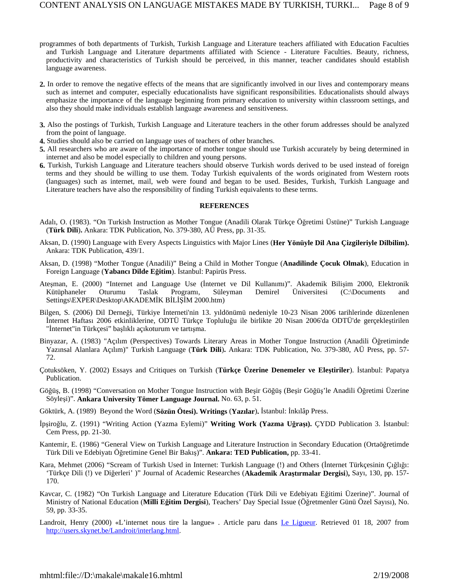- programmes of both departments of Turkish, Turkish Language and Literature teachers affiliated with Education Faculties and Turkish Language and Literature departments affiliated with Science - Literature Faculties. Beauty, richness, productivity and characteristics of Turkish should be perceived, in this manner, teacher candidates should establish language awareness.
- **2.** In order to remove the negative effects of the means that are significantly involved in our lives and contemporary means such as internet and computer, especially educationalists have significant responsibilities. Educationalists should always emphasize the importance of the language beginning from primary education to university within classroom settings, and also they should make individuals establish language awareness and sensitiveness.
- **3.** Also the postings of Turkish, Turkish Language and Literature teachers in the other forum addresses should be analyzed from the point of language.
- **4.** Studies should also be carried on language uses of teachers of other branches.
- **5.** All researchers who are aware of the importance of mother tongue should use Turkish accurately by being determined in internet and also be model especially to children and young persons.
- **6.** Turkish, Turkish Language and Literature teachers should observe Turkish words derived to be used instead of foreign terms and they should be willing to use them. Today Turkish equivalents of the words originated from Western roots (languages) such as internet, mail, web were found and began to be used. Besides, Turkish, Turkish Language and Literature teachers have also the responsibility of finding Turkish equivalents to these terms.

## **REFERENCES**

- Adalı, O. (1983). "On Turkish Instruction as Mother Tongue (Anadili Olarak Türkçe Öğretimi Üstüne)" Turkish Language (**Türk Dili**)**.** Ankara: TDK Publication, No. 379-380, AÜ Press, pp. 31-35.
- Aksan, D. (1990) Language with Every Aspects Linguistics with Major Lines (**Her Yönüyle Dil Ana Çizgileriyle Dilbilim).** Ankara: TDK Publication, 439/1.
- Aksan, D. (1998) "Mother Tongue (Anadili)" Being a Child in Mother Tongue (**Anadilinde Çocuk Olmak**), Education in Foreign Language (**Yabancı Dilde Eğitim**). İstanbul: Papirüs Press.
- Ateşman, E. (2000) "Internet and Language Use (İnternet ve Dil Kullanımı)". Akademik Bilişim 2000, Elektronik Kütüphaneler Oturumu Taslak Programı, Süleyman Demirel Üniversitesi (C:\Documents and Settings\EXPER\Desktop\AKADEMİK BİLİŞİM 2000.htm)
- Bilgen, S. (2006) Dil Derneği, Türkiye İnterneti'nin 13. yıldönümü nedeniyle 10-23 Nisan 2006 tarihlerinde düzenlenen İnternet Haftası 2006 etkinliklerine, ODTÜ Türkçe Topluluğu ile birlikte 20 Nisan 2006'da ODTÜ'de gerçekleştirilen "İnternet"in Türkçesi" başlıklı açıkoturum ve tartışma.
- Binyazar, A. (1983) "Açılım (Perspectives) Towards Literary Areas in Mother Tongue Instruction (Anadili Öğretiminde Yazınsal Alanlara Açılım)" Turkish Language (**Türk Dili**)**.** Ankara: TDK Publication, No. 379-380, AÜ Press, pp. 57- 72.
- Çotuksöken, Y. (2002) Essays and Critiques on Turkish (**Türkçe Üzerine Denemeler ve Eleştiriler**). İstanbul: Papatya Publication.
- Göğüş, B. (1998) "Conversation on Mother Tongue Instruction with Beşir Göğüş (Beşir Göğüş'le Anadili Öğretimi Üzerine Söyleşi)". **Ankara University Tömer Language Journal.** No. 63, p. 51.
- Göktürk, A. (1989) Beyond the Word (**Sözün Ötesi). Writings** (**Yazılar**)**.** İstanbul: İnkılâp Press.
- İpşiroğlu, Z. (1991) "Writing Action (Yazma Eylemi)" **Writing Work (Yazma Uğraşı).** ÇYDD Publication 3. İstanbul: Cem Press, pp. 21-30.
- Kantemir, E. (1986) "General View on Turkish Language and Literature Instruction in Secondary Education (Ortaöğretimde Türk Dili ve Edebiyatı Öğretimine Genel Bir Bakış)". **Ankara: TED Publication,** pp. 33-41.
- Kara, Mehmet (2006) "Scream of Turkish Used in Internet: Turkish Language (!) and Others (İnternet Türkçesinin Çığlığı: 'Türkçe Dili (!) ve Diğerleri' )" Journal of Academic Researches (**Akademik Araştırmalar Dergisi**)**,** Sayı, 130, pp. 157- 170.
- Kavcar, C. (1982) "On Turkish Language and Literature Education (Türk Dili ve Edebiyatı Eğitimi Üzerine)". Journal of Ministry of National Education (**Milli Eğitim Dergisi**), Teachers' Day Special Issue (Öğretmenler Günü Özel Sayısı), No. 59, pp. 33-35.
- Landroit, Henry (2000) «L'internet nous tire la langue» . Article paru dans Le Ligueur. Retrieved 01 18, 2007 from http://users.skynet.be/Landroit/interlang.html.